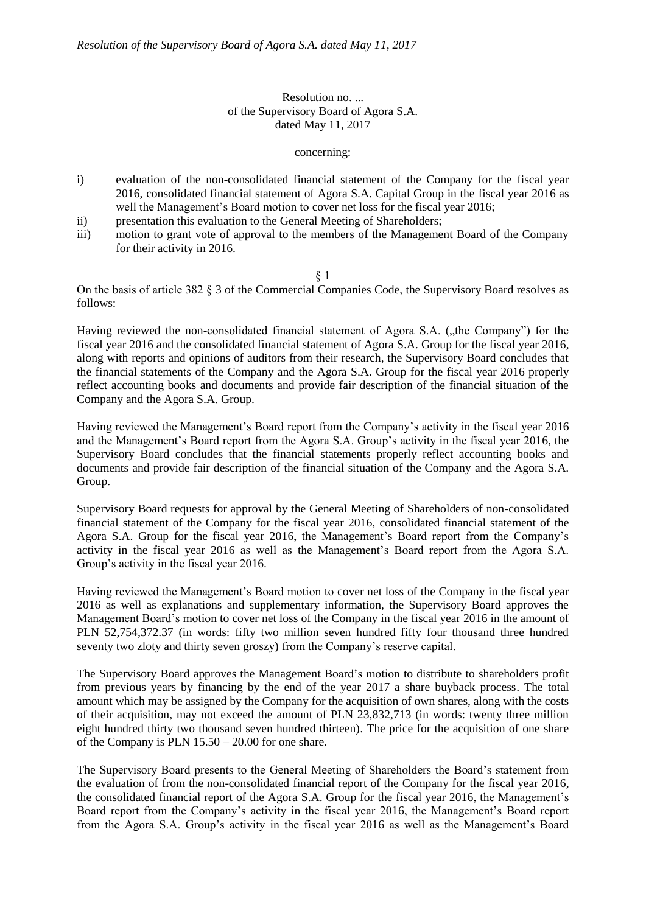## Resolution no. ... of the Supervisory Board of Agora S.A. dated May 11, 2017

concerning:

- i) evaluation of the non-consolidated financial statement of the Company for the fiscal year 2016, consolidated financial statement of Agora S.A. Capital Group in the fiscal year 2016 as well the Management's Board motion to cover net loss for the fiscal year 2016;
- ii) presentation this evaluation to the General Meeting of Shareholders;
- iii) motion to grant vote of approval to the members of the Management Board of the Company for their activity in 2016.

§ 1

On the basis of article 382 § 3 of the Commercial Companies Code, the Supervisory Board resolves as follows:

Having reviewed the non-consolidated financial statement of Agora S.A. ("the Company") for the fiscal year 2016 and the consolidated financial statement of Agora S.A. Group for the fiscal year 2016, along with reports and opinions of auditors from their research, the Supervisory Board concludes that the financial statements of the Company and the Agora S.A. Group for the fiscal year 2016 properly reflect accounting books and documents and provide fair description of the financial situation of the Company and the Agora S.A. Group.

Having reviewed the Management's Board report from the Company's activity in the fiscal year 2016 and the Management's Board report from the Agora S.A. Group's activity in the fiscal year 2016, the Supervisory Board concludes that the financial statements properly reflect accounting books and documents and provide fair description of the financial situation of the Company and the Agora S.A. Group.

Supervisory Board requests for approval by the General Meeting of Shareholders of non-consolidated financial statement of the Company for the fiscal year 2016, consolidated financial statement of the Agora S.A. Group for the fiscal year 2016, the Management's Board report from the Company's activity in the fiscal year 2016 as well as the Management's Board report from the Agora S.A. Group's activity in the fiscal year 2016.

Having reviewed the Management's Board motion to cover net loss of the Company in the fiscal year 2016 as well as explanations and supplementary information, the Supervisory Board approves the Management Board's motion to cover net loss of the Company in the fiscal year 2016 in the amount of PLN 52,754,372.37 (in words: fifty two million seven hundred fifty four thousand three hundred seventy two zloty and thirty seven groszy) from the Company's reserve capital.

The Supervisory Board approves the Management Board's motion to distribute to shareholders profit from previous years by financing by the end of the year 2017 a share buyback process. The total amount which may be assigned by the Company for the acquisition of own shares, along with the costs of their acquisition, may not exceed the amount of PLN 23,832,713 (in words: twenty three million eight hundred thirty two thousand seven hundred thirteen). The price for the acquisition of one share of the Company is PLN 15.50 – 20.00 for one share.

The Supervisory Board presents to the General Meeting of Shareholders the Board's statement from the evaluation of from the non-consolidated financial report of the Company for the fiscal year 2016, the consolidated financial report of the Agora S.A. Group for the fiscal year 2016, the Management's Board report from the Company's activity in the fiscal year 2016, the Management's Board report from the Agora S.A. Group's activity in the fiscal year 2016 as well as the Management's Board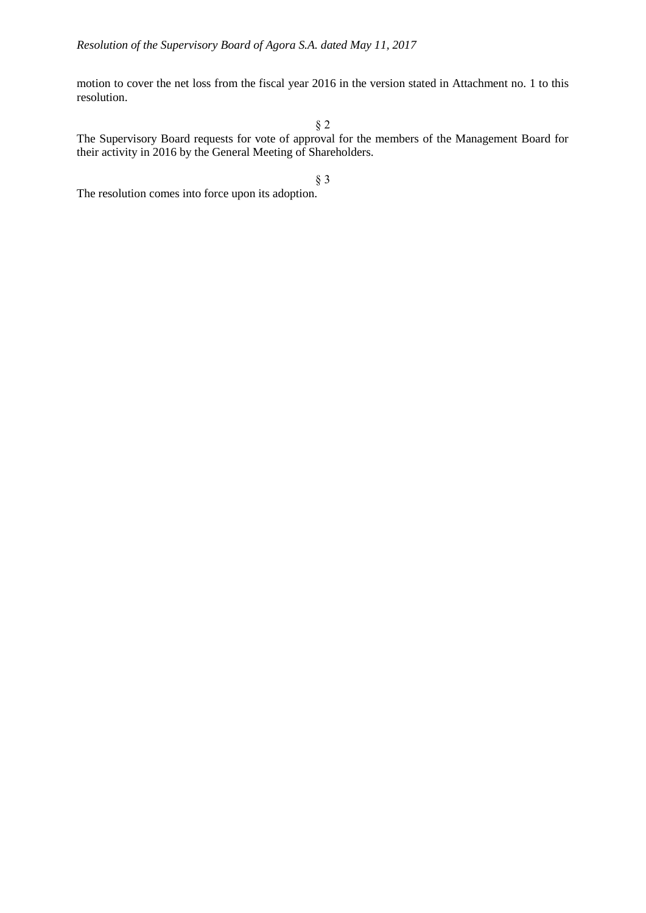motion to cover the net loss from the fiscal year 2016 in the version stated in Attachment no. 1 to this resolution.

§ 2

The Supervisory Board requests for vote of approval for the members of the Management Board for their activity in 2016 by the General Meeting of Shareholders.

§ 3

The resolution comes into force upon its adoption.